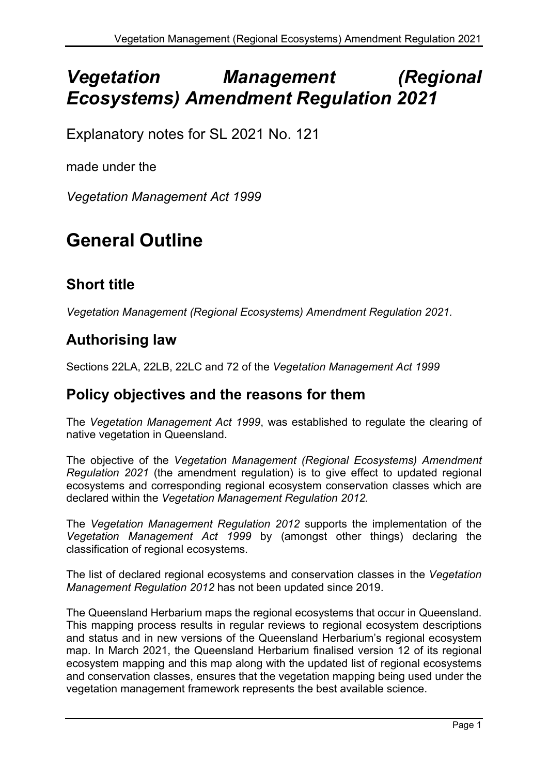# *Vegetation Management (Regional Ecosystems) Amendment Regulation 2021*

Explanatory notes for SL 2021 No. 121

made under the

*Vegetation Management Act 1999*

# **General Outline**

# **Short title**

*Vegetation Management (Regional Ecosystems) Amendment Regulation 2021.*

### **Authorising law**

Sections 22LA, 22LB, 22LC and 72 of the *Vegetation Management Act 1999*

#### **Policy objectives and the reasons for them**

The *Vegetation Management Act 1999*, was established to regulate the clearing of native vegetation in Queensland.

The objective of the *Vegetation Management (Regional Ecosystems) Amendment Regulation 2021* (the amendment regulation) is to give effect to updated regional ecosystems and corresponding regional ecosystem conservation classes which are declared within the *Vegetation Management Regulation 2012.*

The *Vegetation Management Regulation 2012* supports the implementation of the *Vegetation Management Act 1999* by (amongst other things) declaring the classification of regional ecosystems.

The list of declared regional ecosystems and conservation classes in the *Vegetation Management Regulation 2012* has not been updated since 2019.

The Queensland Herbarium maps the regional ecosystems that occur in Queensland. This mapping process results in regular reviews to regional ecosystem descriptions and status and in new versions of the Queensland Herbarium's regional ecosystem map. In March 2021, the Queensland Herbarium finalised version 12 of its regional ecosystem mapping and this map along with the updated list of regional ecosystems and conservation classes, ensures that the vegetation mapping being used under the vegetation management framework represents the best available science.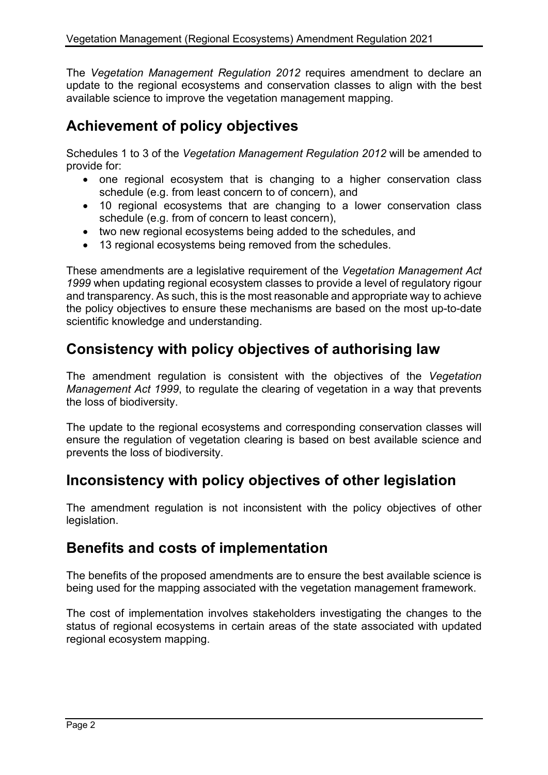The *Vegetation Management Regulation 2012* requires amendment to declare an update to the regional ecosystems and conservation classes to align with the best available science to improve the vegetation management mapping.

## **Achievement of policy objectives**

Schedules 1 to 3 of the *Vegetation Management Regulation 2012* will be amended to provide for:

- one regional ecosystem that is changing to a higher conservation class schedule (e.g. from least concern to of concern), and
- 10 regional ecosystems that are changing to a lower conservation class schedule (e.g. from of concern to least concern),
- two new regional ecosystems being added to the schedules, and
- 13 regional ecosystems being removed from the schedules.

These amendments are a legislative requirement of the *Vegetation Management Act 1999* when updating regional ecosystem classes to provide a level of regulatory rigour and transparency. As such, this is the most reasonable and appropriate way to achieve the policy objectives to ensure these mechanisms are based on the most up-to-date scientific knowledge and understanding.

# **Consistency with policy objectives of authorising law**

The amendment regulation is consistent with the objectives of the *Vegetation Management Act 1999*, to regulate the clearing of vegetation in a way that prevents the loss of biodiversity.

The update to the regional ecosystems and corresponding conservation classes will ensure the regulation of vegetation clearing is based on best available science and prevents the loss of biodiversity.

### **Inconsistency with policy objectives of other legislation**

The amendment regulation is not inconsistent with the policy objectives of other legislation.

#### **Benefits and costs of implementation**

The benefits of the proposed amendments are to ensure the best available science is being used for the mapping associated with the vegetation management framework.

The cost of implementation involves stakeholders investigating the changes to the status of regional ecosystems in certain areas of the state associated with updated regional ecosystem mapping.